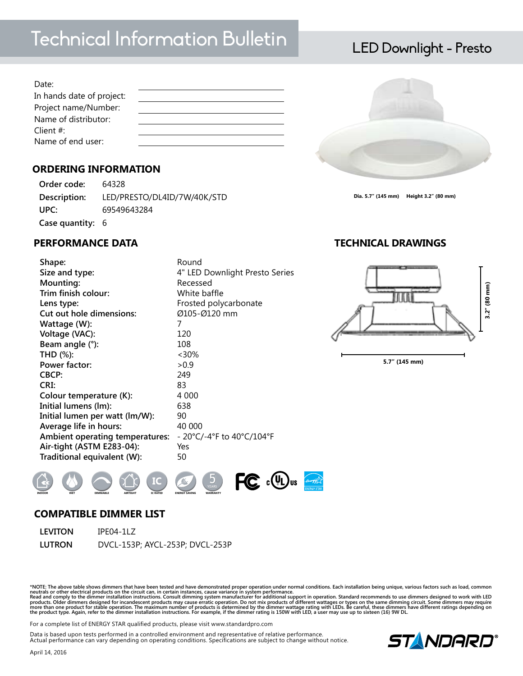# Technical Information Bulletin LED Downlight - Presto

| Date:                     |  |
|---------------------------|--|
| In hands date of project: |  |
| Project name/Number:      |  |
| Name of distributor:      |  |
| Client $#$ :              |  |
| Name of end user:         |  |

# **ORDERING INFORMATION**

| Order code:      | 64328                       |
|------------------|-----------------------------|
| Description:     | LED/PRESTO/DL4ID/7W/40K/STD |
| UPC:             | 69549643284                 |
| Case quantity: 6 |                             |

# **PERFORMANCE DATA TECHNICAL DRAWINGS**

Date:<br>
In hands date of project:<br> **Project name/Number:**<br> **Project name/Number:**<br> **Name of distributor:**<br> **Name of end user:**<br> **YEARTING INFORMATION**<br> **Order code:** 64328<br> **Description:** LED/PRESTO/DL4ID/7W/40K/S<br>
UPC:<br> **S** Shape: Round **Size and type:** 4" LED Downlight Presto Series **Mounting:** Recessed **Trim finish colour:** White baffle Lens type:  $\qquad \qquad$  Frosted polycarbonate **Cut out hole dimensions:** Ø105-Ø120 mm **Wattage (W):** 7 **Voltage (VAC):** 120 **Beam angle (°):** 108 **THD (%):** <30% **Power factor:**  $>0.9$ **CBCP:** 249 **CRI:** 83 **Colour temperature (K):** 4 000 **Initial lumens (lm):** 638 **Initial lumen per watt (lm/W):** 90 Average life in hours: 40 000 **Ambient operating temperatures:** - 20°C/-4°F to 40°C/104°F **Air-tight (ASTM E283-04):** Yes **Traditional equivalent (W):** 50



1 2 3 4

**5.7" (145 mm)**

**COMPATIBLE DIMMER LIST**

| LEVITON | IPE04-1LZ                       |
|---------|---------------------------------|
| LUTRON  | DVCL-153P; AYCL-253P; DVCL-253P |

\*NOTE: The above table shows dimmers that have been tested and have demonstrated proper operation under normal conditions. Each installation being unique, various factors such as load, common neutrals or other electrical p

For a complete list of ENERGY STAR qualified products, please visit www.standardpro.com

Data is based upon tests performed in a controlled environment and representative of relative performance. Actual performance can vary depending on operating conditions. Specifications are subject to change without notice.







**Dia. 5.7" (145 mm) Height 3.2" (80 mm)**